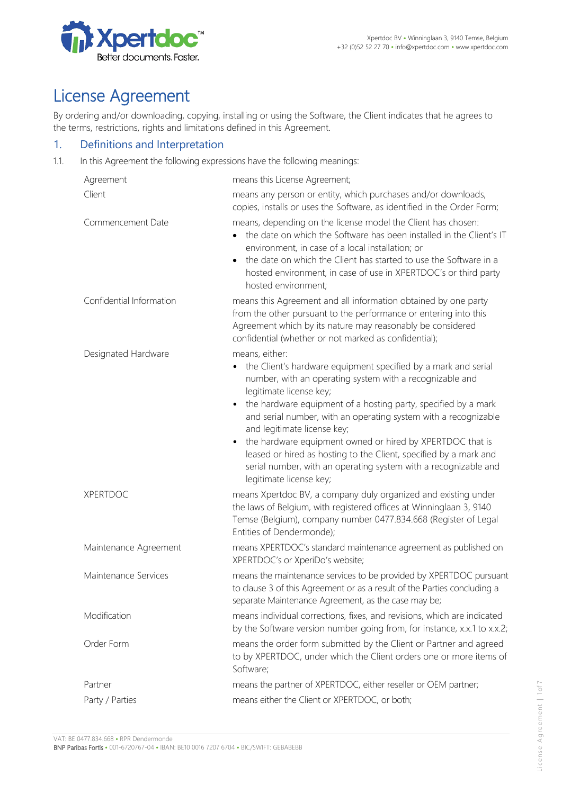

# License Agreement

By ordering and/or downloading, copying, installing or using the Software, the Client indicates that he agrees to the terms, restrictions, rights and limitations defined in this Agreement.

#### 1. Definitions and Interpretation

1.1. In this Agreement the following expressions have the following meanings:

| Agreement                | means this License Agreement;                                                                                                                                                                                                                                                                                                                                                                                                                                                                                                                                                            |
|--------------------------|------------------------------------------------------------------------------------------------------------------------------------------------------------------------------------------------------------------------------------------------------------------------------------------------------------------------------------------------------------------------------------------------------------------------------------------------------------------------------------------------------------------------------------------------------------------------------------------|
| Client                   | means any person or entity, which purchases and/or downloads,<br>copies, installs or uses the Software, as identified in the Order Form;                                                                                                                                                                                                                                                                                                                                                                                                                                                 |
| Commencement Date        | means, depending on the license model the Client has chosen:<br>the date on which the Software has been installed in the Client's IT<br>environment, in case of a local installation; or<br>the date on which the Client has started to use the Software in a<br>$\bullet$<br>hosted environment, in case of use in XPERTDOC's or third party<br>hosted environment;                                                                                                                                                                                                                     |
| Confidential Information | means this Agreement and all information obtained by one party<br>from the other pursuant to the performance or entering into this<br>Agreement which by its nature may reasonably be considered<br>confidential (whether or not marked as confidential);                                                                                                                                                                                                                                                                                                                                |
| Designated Hardware      | means, either:<br>the Client's hardware equipment specified by a mark and serial<br>number, with an operating system with a recognizable and<br>legitimate license key;<br>the hardware equipment of a hosting party, specified by a mark<br>and serial number, with an operating system with a recognizable<br>and legitimate license key;<br>the hardware equipment owned or hired by XPERTDOC that is<br>$\bullet$<br>leased or hired as hosting to the Client, specified by a mark and<br>serial number, with an operating system with a recognizable and<br>legitimate license key; |
| <b>XPERTDOC</b>          | means Xpertdoc BV, a company duly organized and existing under<br>the laws of Belgium, with registered offices at Winninglaan 3, 9140<br>Temse (Belgium), company number 0477.834.668 (Register of Legal<br>Entities of Dendermonde);                                                                                                                                                                                                                                                                                                                                                    |
| Maintenance Agreement    | means XPERTDOC's standard maintenance agreement as published on<br>XPERTDOC's or XperiDo's website;                                                                                                                                                                                                                                                                                                                                                                                                                                                                                      |
| Maintenance Services     | means the maintenance services to be provided by XPERTDOC pursuant<br>to clause 3 of this Agreement or as a result of the Parties concluding a<br>separate Maintenance Agreement, as the case may be;                                                                                                                                                                                                                                                                                                                                                                                    |
| Modification             | means individual corrections, fixes, and revisions, which are indicated<br>by the Software version number going from, for instance, x.x.1 to x.x.2;                                                                                                                                                                                                                                                                                                                                                                                                                                      |
| Order Form               | means the order form submitted by the Client or Partner and agreed<br>to by XPERTDOC, under which the Client orders one or more items of<br>Software;                                                                                                                                                                                                                                                                                                                                                                                                                                    |
| Partner                  | means the partner of XPERTDOC, either reseller or OEM partner;                                                                                                                                                                                                                                                                                                                                                                                                                                                                                                                           |
| Party / Parties          | means either the Client or XPERTDOC, or both;                                                                                                                                                                                                                                                                                                                                                                                                                                                                                                                                            |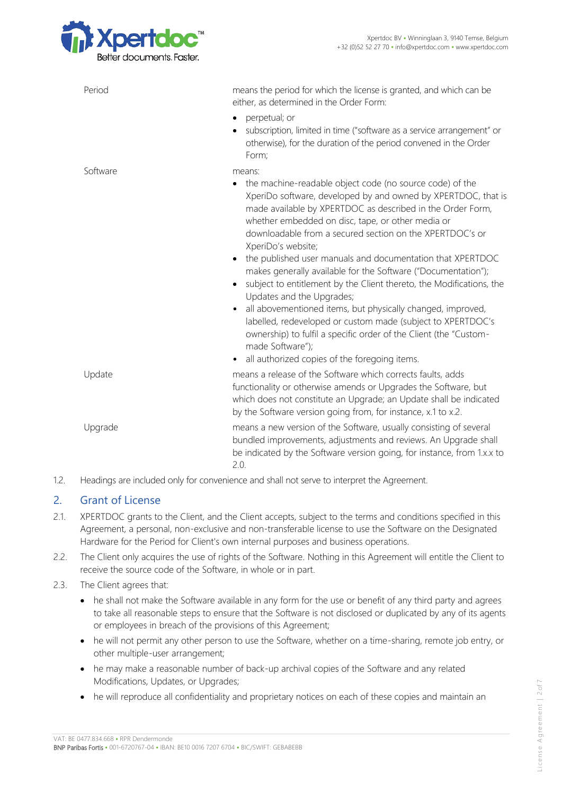

| Period   | means the period for which the license is granted, and which can be<br>either, as determined in the Order Form:<br>perpetual; or<br>$\bullet$<br>subscription, limited in time ("software as a service arrangement" or<br>otherwise), for the duration of the period convened in the Order<br>Form:                                                                                                                                                                                                                                                                                                                                                                                                                                                                                                                                                                              |
|----------|----------------------------------------------------------------------------------------------------------------------------------------------------------------------------------------------------------------------------------------------------------------------------------------------------------------------------------------------------------------------------------------------------------------------------------------------------------------------------------------------------------------------------------------------------------------------------------------------------------------------------------------------------------------------------------------------------------------------------------------------------------------------------------------------------------------------------------------------------------------------------------|
| Software | means:<br>the machine-readable object code (no source code) of the<br>$\bullet$<br>XperiDo software, developed by and owned by XPERTDOC, that is<br>made available by XPERTDOC as described in the Order Form,<br>whether embedded on disc, tape, or other media or<br>downloadable from a secured section on the XPERTDOC's or<br>XperiDo's website;<br>• the published user manuals and documentation that XPERTDOC<br>makes generally available for the Software ("Documentation");<br>subject to entitlement by the Client thereto, the Modifications, the<br>Updates and the Upgrades;<br>all abovementioned items, but physically changed, improved,<br>$\bullet$<br>labelled, redeveloped or custom made (subject to XPERTDOC's<br>ownership) to fulfil a specific order of the Client (the "Custom-<br>made Software");<br>all authorized copies of the foregoing items. |
| Update   | means a release of the Software which corrects faults, adds<br>functionality or otherwise amends or Upgrades the Software, but<br>which does not constitute an Upgrade; an Update shall be indicated<br>by the Software version going from, for instance, x.1 to x.2.                                                                                                                                                                                                                                                                                                                                                                                                                                                                                                                                                                                                            |
| Upgrade  | means a new version of the Software, usually consisting of several<br>bundled improvements, adjustments and reviews. An Upgrade shall<br>be indicated by the Software version going, for instance, from 1.x.x to<br>2.0.                                                                                                                                                                                                                                                                                                                                                                                                                                                                                                                                                                                                                                                         |
|          |                                                                                                                                                                                                                                                                                                                                                                                                                                                                                                                                                                                                                                                                                                                                                                                                                                                                                  |

1.2. Headings are included only for convenience and shall not serve to interpret the Agreement.

# 2. Grant of License

- 2.1. XPERTDOC grants to the Client, and the Client accepts, subject to the terms and conditions specified in this Agreement, a personal, non-exclusive and non-transferable license to use the Software on the Designated Hardware for the Period for Client's own internal purposes and business operations.
- 2.2. The Client only acquires the use of rights of the Software. Nothing in this Agreement will entitle the Client to receive the source code of the Software, in whole or in part.
- 2.3. The Client agrees that:
	- he shall not make the Software available in any form for the use or benefit of any third party and agrees to take all reasonable steps to ensure that the Software is not disclosed or duplicated by any of its agents or employees in breach of the provisions of this Agreement;
	- he will not permit any other person to use the Software, whether on a time-sharing, remote job entry, or other multiple-user arrangement;
	- he may make a reasonable number of back-up archival copies of the Software and any related Modifications, Updates, or Upgrades;
	- he will reproduce all confidentiality and proprietary notices on each of these copies and maintain an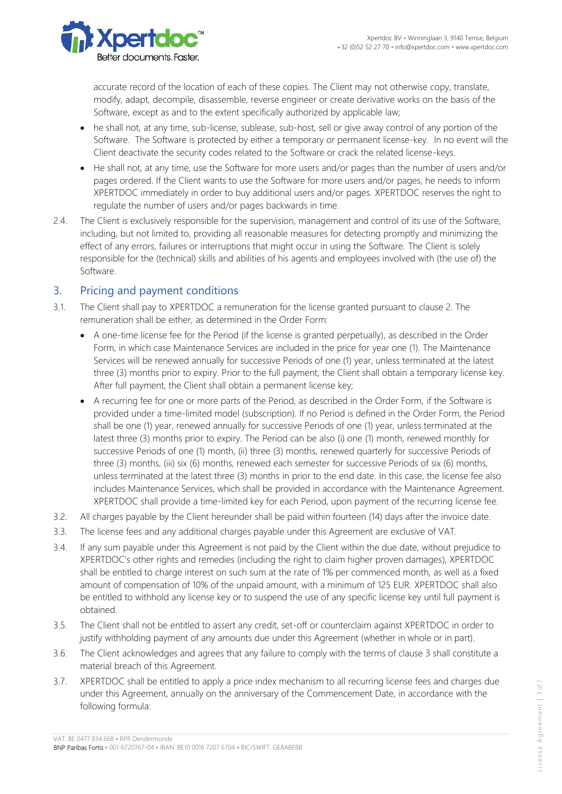

accurate record of the location of each of these copies. The Client may not otherwise copy, translate, modify, adapt, decompile, disassemble, reverse engineer or create derivative works on the basis of the Software, except as and to the extent specifically authorized by applicable law;

- he shall not, at any time, sub-license, sublease, sub-host, sell or give away control of any portion of the Software. The Software is protected by either a temporary or permanent license-key. In no event will the Client deactivate the security codes related to the Software or crack the related license-keys.
- He shall not, at any time, use the Software for more users and/or pages than the number of users and/or pages ordered. If the Client wants to use the Software for more users and/or pages, he needs to inform XPERTDOC immediately in order to buy additional users and/or pages. XPERTDOC reserves the right to regulate the number of users and/or pages backwards in time.
- 2.4. The Client is exclusively responsible for the supervision, management and control of its use of the Software, including, but not limited to, providing all reasonable measures for detecting promptly and minimizing the effect of any errors, failures or interruptions that might occur in using the Software. The Client is solely responsible for the (technical) skills and abilities of his agents and employees involved with (the use of) the Software.

## 3. Pricing and payment conditions

- 3.1. The Client shall pay to XPERTDOC a remuneration for the license granted pursuant to clause 2. The remuneration shall be either, as determined in the Order Form:
	- A one-time license fee for the Period (if the license is granted perpetually), as described in the Order Form, in which case Maintenance Services are included in the price for year one (1). The Maintenance Services will be renewed annually for successive Periods of one (1) year, unless terminated at the latest three (3) months prior to expiry. Prior to the full payment, the Client shall obtain a temporary license key. After full payment, the Client shall obtain a permanent license key;
	- A recurring fee for one or more parts of the Period, as described in the Order Form, if the Software is provided under a time-limited model (subscription). If no Period is defined in the Order Form, the Period shall be one (1) year, renewed annually for successive Periods of one (1) year, unless terminated at the latest three (3) months prior to expiry. The Period can be also (i) one (1) month, renewed monthly for successive Periods of one (1) month, (ii) three (3) months, renewed quarterly for successive Periods of three (3) months, (iii) six (6) months, renewed each semester for successive Periods of six (6) months, unless terminated at the latest three (3) months in prior to the end date. In this case, the license fee also includes Maintenance Services, which shall be provided in accordance with the Maintenance Agreement. XPERTDOC shall provide a time-limited key for each Period, upon payment of the recurring license fee.
- 3.2. All charges payable by the Client hereunder shall be paid within fourteen (14) days after the invoice date.
- 3.3. The license fees and any additional charges payable under this Agreement are exclusive of VAT.
- 3.4. If any sum payable under this Agreement is not paid by the Client within the due date, without prejudice to XPERTDOC's other rights and remedies (including the right to claim higher proven damages), XPERTDOC shall be entitled to charge interest on such sum at the rate of 1% per commenced month, as well as a fixed amount of compensation of 10% of the unpaid amount, with a minimum of 125 EUR. XPERTDOC shall also be entitled to withhold any license key or to suspend the use of any specific license key until full payment is obtained.
- 3.5. The Client shall not be entitled to assert any credit, set-off or counterclaim against XPERTDOC in order to justify withholding payment of any amounts due under this Agreement (whether in whole or in part).
- 3.6. The Client acknowledges and agrees that any failure to comply with the terms of clause 3 shall constitute a material breach of this Agreement.
- 3.7. XPERTDOC shall be entitled to apply a price index mechanism to all recurring license fees and charges due under this Agreement, annually on the anniversary of the Commencement Date, in accordance with the following formula: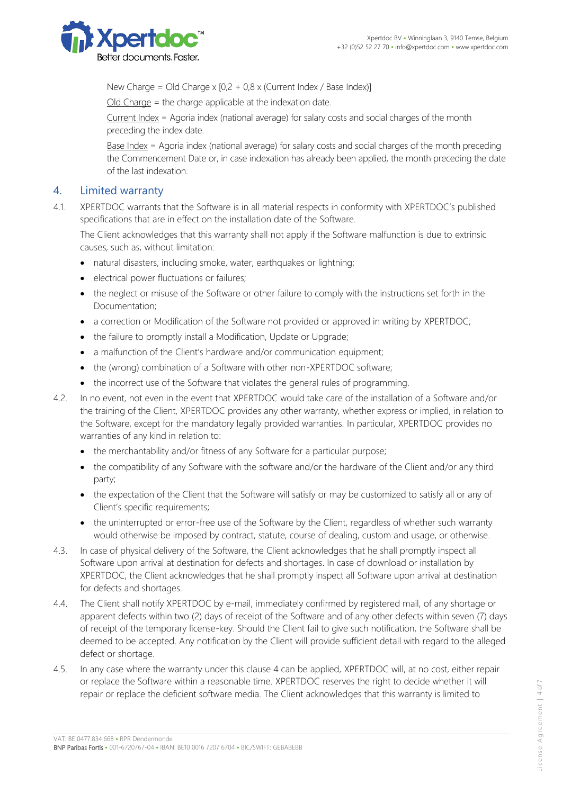

New Charge = Old Charge x  $[0,2 + 0,8 \times$  (Current Index / Base Index)]

Old Charge = the charge applicable at the indexation date.

Current Index = Agoria index (national average) for salary costs and social charges of the month preceding the index date.

Base Index = Agoria index (national average) for salary costs and social charges of the month preceding the Commencement Date or, in case indexation has already been applied, the month preceding the date of the last indexation.

#### 4. Limited warranty

4.1. XPERTDOC warrants that the Software is in all material respects in conformity with XPERTDOC's published specifications that are in effect on the installation date of the Software.

The Client acknowledges that this warranty shall not apply if the Software malfunction is due to extrinsic causes, such as, without limitation:

- natural disasters, including smoke, water, earthquakes or lightning;
- electrical power fluctuations or failures;
- the neglect or misuse of the Software or other failure to comply with the instructions set forth in the Documentation;
- a correction or Modification of the Software not provided or approved in writing by XPERTDOC;
- the failure to promptly install a Modification, Update or Upgrade;
- a malfunction of the Client's hardware and/or communication equipment;
- the (wrong) combination of a Software with other non-XPERTDOC software;
- the incorrect use of the Software that violates the general rules of programming.
- 4.2. In no event, not even in the event that XPERTDOC would take care of the installation of a Software and/or the training of the Client, XPERTDOC provides any other warranty, whether express or implied, in relation to the Software, except for the mandatory legally provided warranties. In particular, XPERTDOC provides no warranties of any kind in relation to:
	- the merchantability and/or fitness of any Software for a particular purpose;
	- the compatibility of any Software with the software and/or the hardware of the Client and/or any third party;
	- the expectation of the Client that the Software will satisfy or may be customized to satisfy all or any of Client's specific requirements;
	- the uninterrupted or error-free use of the Software by the Client, regardless of whether such warranty would otherwise be imposed by contract, statute, course of dealing, custom and usage, or otherwise.
- 4.3. In case of physical delivery of the Software, the Client acknowledges that he shall promptly inspect all Software upon arrival at destination for defects and shortages. In case of download or installation by XPERTDOC, the Client acknowledges that he shall promptly inspect all Software upon arrival at destination for defects and shortages.
- 4.4. The Client shall notify XPERTDOC by e-mail, immediately confirmed by registered mail, of any shortage or apparent defects within two (2) days of receipt of the Software and of any other defects within seven (7) days of receipt of the temporary license-key. Should the Client fail to give such notification, the Software shall be deemed to be accepted. Any notification by the Client will provide sufficient detail with regard to the alleged defect or shortage.
- 4.5. In any case where the warranty under this clause 4 can be applied, XPERTDOC will, at no cost, either repair or replace the Software within a reasonable time. XPERTDOC reserves the right to decide whether it will repair or replace the deficient software media. The Client acknowledges that this warranty is limited to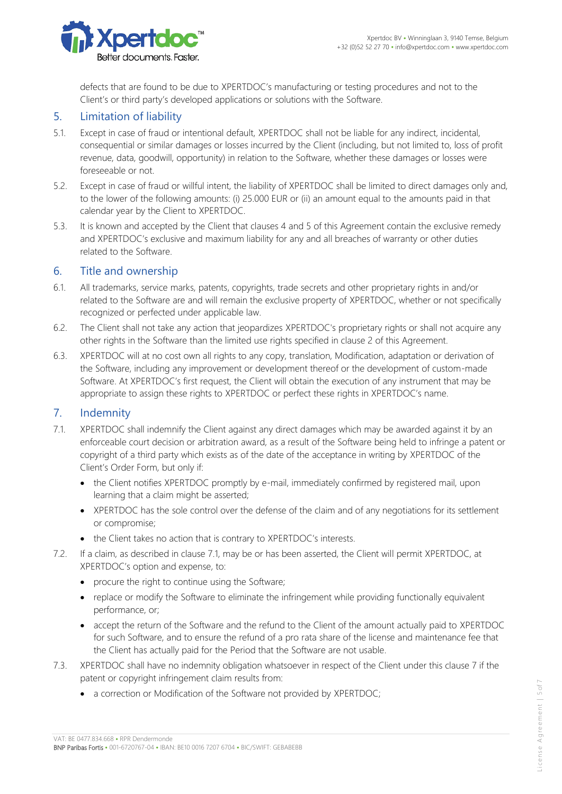

defects that are found to be due to XPERTDOC's manufacturing or testing procedures and not to the Client's or third party's developed applications or solutions with the Software.

#### 5. Limitation of liability

- 5.1. Except in case of fraud or intentional default, XPERTDOC shall not be liable for any indirect, incidental, consequential or similar damages or losses incurred by the Client (including, but not limited to, loss of profit revenue, data, goodwill, opportunity) in relation to the Software, whether these damages or losses were foreseeable or not.
- 5.2. Except in case of fraud or willful intent, the liability of XPERTDOC shall be limited to direct damages only and, to the lower of the following amounts: (i) 25.000 EUR or (ii) an amount equal to the amounts paid in that calendar year by the Client to XPERTDOC.
- 5.3. It is known and accepted by the Client that clauses 4 and 5 of this Agreement contain the exclusive remedy and XPERTDOC's exclusive and maximum liability for any and all breaches of warranty or other duties related to the Software.

#### 6. Title and ownership

- 6.1. All trademarks, service marks, patents, copyrights, trade secrets and other proprietary rights in and/or related to the Software are and will remain the exclusive property of XPERTDOC, whether or not specifically recognized or perfected under applicable law.
- 6.2. The Client shall not take any action that jeopardizes XPERTDOC's proprietary rights or shall not acquire any other rights in the Software than the limited use rights specified in clause 2 of this Agreement.
- 6.3. XPERTDOC will at no cost own all rights to any copy, translation, Modification, adaptation or derivation of the Software, including any improvement or development thereof or the development of custom-made Software. At XPERTDOC's first request, the Client will obtain the execution of any instrument that may be appropriate to assign these rights to XPERTDOC or perfect these rights in XPERTDOC's name.

#### 7. Indemnity

- 7.1. XPERTDOC shall indemnify the Client against any direct damages which may be awarded against it by an enforceable court decision or arbitration award, as a result of the Software being held to infringe a patent or copyright of a third party which exists as of the date of the acceptance in writing by XPERTDOC of the Client's Order Form, but only if:
	- the Client notifies XPERTDOC promptly by e-mail, immediately confirmed by registered mail, upon learning that a claim might be asserted;
	- XPERTDOC has the sole control over the defense of the claim and of any negotiations for its settlement or compromise;
	- the Client takes no action that is contrary to XPERTDOC's interests.
- 7.2. If a claim, as described in clause 7.1, may be or has been asserted, the Client will permit XPERTDOC, at XPERTDOC's option and expense, to:
	- procure the right to continue using the Software;
	- replace or modify the Software to eliminate the infringement while providing functionally equivalent performance, or;
	- accept the return of the Software and the refund to the Client of the amount actually paid to XPERTDOC for such Software, and to ensure the refund of a pro rata share of the license and maintenance fee that the Client has actually paid for the Period that the Software are not usable.
- 7.3. XPERTDOC shall have no indemnity obligation whatsoever in respect of the Client under this clause 7 if the patent or copyright infringement claim results from:
	- a correction or Modification of the Software not provided by XPERTDOC;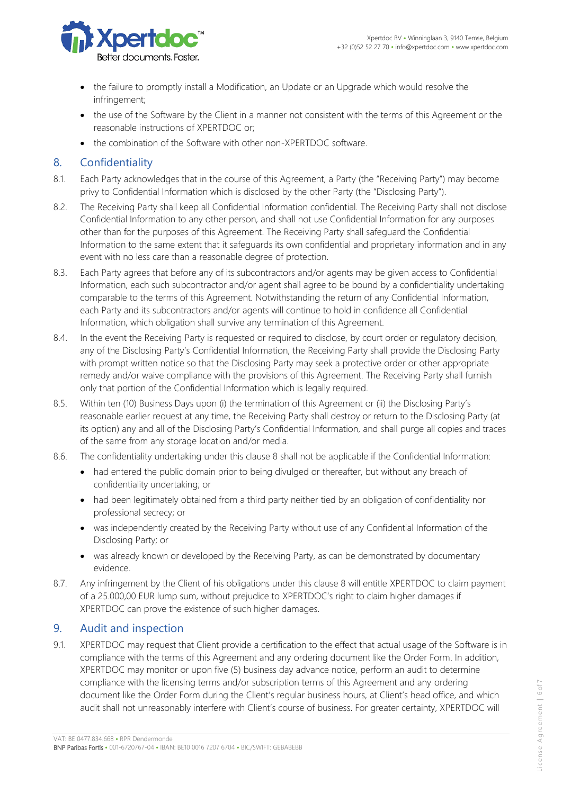

- the failure to promptly install a Modification, an Update or an Upgrade which would resolve the infringement;
- the use of the Software by the Client in a manner not consistent with the terms of this Agreement or the reasonable instructions of XPERTDOC or;
- the combination of the Software with other non-XPERTDOC software.

## 8. Confidentiality

- 8.1. Each Party acknowledges that in the course of this Agreement, a Party (the "Receiving Party") may become privy to Confidential Information which is disclosed by the other Party (the "Disclosing Party").
- 8.2. The Receiving Party shall keep all Confidential Information confidential. The Receiving Party shall not disclose Confidential Information to any other person, and shall not use Confidential Information for any purposes other than for the purposes of this Agreement. The Receiving Party shall safeguard the Confidential Information to the same extent that it safeguards its own confidential and proprietary information and in any event with no less care than a reasonable degree of protection.
- 8.3. Each Party agrees that before any of its subcontractors and/or agents may be given access to Confidential Information, each such subcontractor and/or agent shall agree to be bound by a confidentiality undertaking comparable to the terms of this Agreement. Notwithstanding the return of any Confidential Information, each Party and its subcontractors and/or agents will continue to hold in confidence all Confidential Information, which obligation shall survive any termination of this Agreement.
- 8.4. In the event the Receiving Party is requested or required to disclose, by court order or regulatory decision, any of the Disclosing Party's Confidential Information, the Receiving Party shall provide the Disclosing Party with prompt written notice so that the Disclosing Party may seek a protective order or other appropriate remedy and/or waive compliance with the provisions of this Agreement. The Receiving Party shall furnish only that portion of the Confidential Information which is legally required.
- 8.5. Within ten (10) Business Days upon (i) the termination of this Agreement or (ii) the Disclosing Party's reasonable earlier request at any time, the Receiving Party shall destroy or return to the Disclosing Party (at its option) any and all of the Disclosing Party's Confidential Information, and shall purge all copies and traces of the same from any storage location and/or media.
- 8.6. The confidentiality undertaking under this clause 8 shall not be applicable if the Confidential Information:
	- had entered the public domain prior to being divulged or thereafter, but without any breach of confidentiality undertaking; or
	- had been legitimately obtained from a third party neither tied by an obligation of confidentiality nor professional secrecy; or
	- was independently created by the Receiving Party without use of any Confidential Information of the Disclosing Party; or
	- was already known or developed by the Receiving Party, as can be demonstrated by documentary evidence.
- 8.7. Any infringement by the Client of his obligations under this clause 8 will entitle XPERTDOC to claim payment of a 25.000,00 EUR lump sum, without prejudice to XPERTDOC's right to claim higher damages if XPERTDOC can prove the existence of such higher damages.

### 9. Audit and inspection

9.1. XPERTDOC may request that Client provide a certification to the effect that actual usage of the Software is in compliance with the terms of this Agreement and any ordering document like the Order Form. In addition, XPERTDOC may monitor or upon five (5) business day advance notice, perform an audit to determine compliance with the licensing terms and/or subscription terms of this Agreement and any ordering document like the Order Form during the Client's regular business hours, at Client's head office, and which audit shall not unreasonably interfere with Client's course of business. For greater certainty, XPERTDOC will